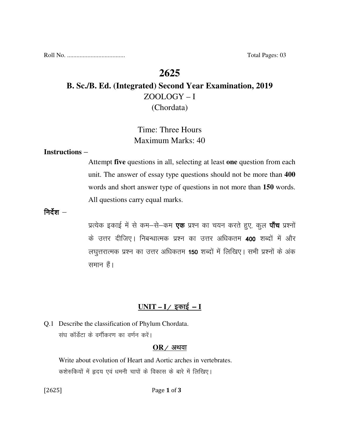Roll No. ..................................... Total Pages: 03

# **2625**

## **B. Sc./B. Ed. (Integrated) Second Year Examination, 2019**  ZOOLOGY – I (Chordata)

## Time: Three Hours Maximum Marks: 40

#### **Instructions** –

Attempt **five** questions in all, selecting at least **one** question from each unit. The answer of essay type questions should not be more than **400** words and short answer type of questions in not more than **150** words. All questions carry equal marks.

निर्देश $-$ 

प्रत्येक इकाई में से कम–से–कम **एक** प्रश्न का चयन करते हुए, कूल **पाँच** प्रश्नों के उत्तर दीजिए। निबन्धात्मक प्रश्न का उत्तर अधिकतम 400 शब्दों में और लघुत्तरात्मक प्रश्न का उत्तर अधिकतम 150 शब्दों में लिखिए। सभी प्रश्नों के अंक समान हैं।

### $UNIT - I /$  इकाई – **I**

Q.1 Describe the classification of Phylum Chordata. संघ कॉर्डेटा के वर्गीकरण का वर्णन करें।

#### $OR$  / अथवा

 Write about evolution of Heart and Aortic arches in vertebrates. कशेरुकियों में हृदय एवं धमनी चापों के विकास के बारे में लिखिए।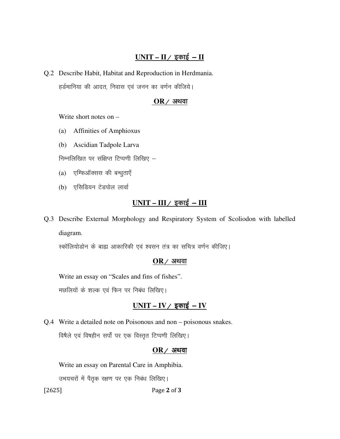### $UNIT - II /$  इकाई – **II**

Q.2 Describe Habit, Habitat and Reproduction in Herdmania. हर्डमानिया की आदत, निवास एवं जनन का वर्णन कीजिये।

#### $OR$  ⁄ अथवा

Write short notes on –

- (a) Affinities of Amphioxus
- (b) Ascidian Tadpole Larva

निम्नलिखित पर संक्षिप्त टिप्पणी लिखिए  $-$ 

- (a) एम्फिऑक्सस की बन्धुताएँ
- (b) एसिडियन टेडपोल लार्वा

# <u>UNIT – III / इकाई – III</u>

Q.3 Describe External Morphology and Respiratory System of Scoliodon with labelled diagram.

स्कॉलियोडोन के बाह्य आकारिकी एवं श्वसन तंत्र का सचित्र वर्णन कीजिए।

#### $OR$  / अथवा

Write an essay on "Scales and fins of fishes".

मछलियों के शल्क एवं फिन पर निबंध लिखिए।

### $UNIT - IV / \overline{x}$  काई - **IV**

Q.4 Write a detailed note on Poisonous and non – poisonous snakes. विषैले एवं विषहीन सर्पों पर एक विस्तृत टिप्पणी लिखिए।

#### $OR$  अथवा

Write an essay on Parental Care in Amphibia.

उभयचरों में पैतृक रक्षण पर एक निबंध लिखिए।

[2625] **Page 2 of 3**